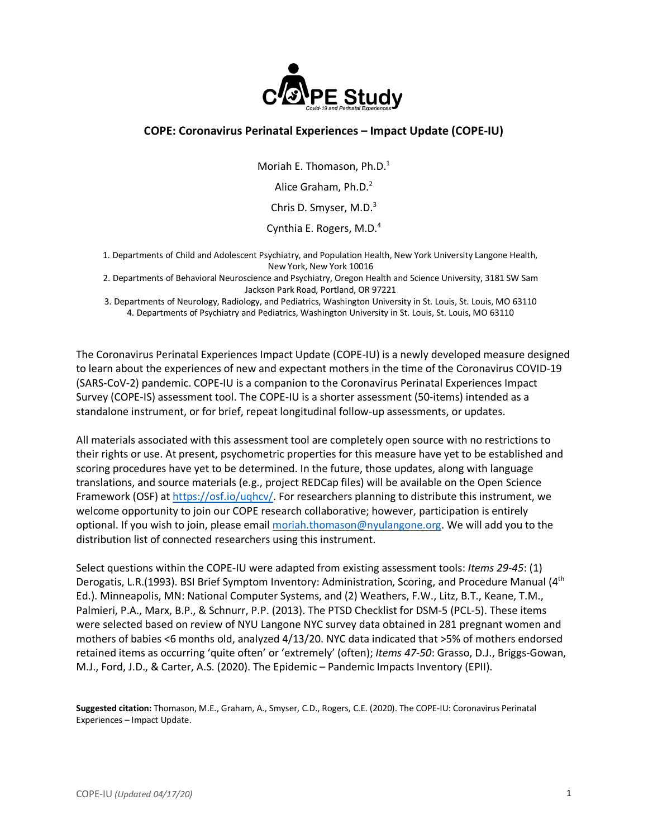

# **COPE: Coronavirus Perinatal Experiences – Impact Update (COPE-IU)**

Moriah E. Thomason, Ph.D. 1

Alice Graham, Ph.D.<sup>2</sup>

Chris D. Smyser, M.D.<sup>3</sup>

Cynthia E. Rogers, M.D.<sup>4</sup>

- 1. Departments of Child and Adolescent Psychiatry, and Population Health, New York University Langone Health, New York, New York 10016
- 2. Departments of Behavioral Neuroscience and Psychiatry, Oregon Health and Science University, 3181 SW Sam Jackson Park Road, Portland, OR 97221
- 3. Departments of Neurology, Radiology, and Pediatrics, Washington University in St. Louis, St. Louis, MO 63110 4. Departments of Psychiatry and Pediatrics, Washington University in St. Louis, St. Louis, MO 63110

The Coronavirus Perinatal Experiences Impact Update (COPE-IU) is a newly developed measure designed to learn about the experiences of new and expectant mothers in the time of the Coronavirus COVID-19 (SARS-CoV-2) pandemic. COPE-IU is a companion to the Coronavirus Perinatal Experiences Impact Survey (COPE-IS) assessment tool. The COPE-IU is a shorter assessment (50-items) intended as a standalone instrument, or for brief, repeat longitudinal follow-up assessments, or updates.

All materials associated with this assessment tool are completely open source with no restrictions to their rights or use. At present, psychometric properties for this measure have yet to be established and scoring procedures have yet to be determined. In the future, those updates, along with language translations, and source materials (e.g., project REDCap files) will be available on the Open Science Framework (OSF) at https://osf.io/uqhcv/. For researchers planning to distribute this instrument, we welcome opportunity to join our COPE research collaborative; however, participation is entirely optional. If you wish to join, please email moriah.thomason@nyulangone.org. We will add you to the distribution list of connected researchers using this instrument.

Select questions within the COPE-IU were adapted from existing assessment tools: *Items 29-45*: (1) Derogatis, L.R.(1993). BSI Brief Symptom Inventory: Administration, Scoring, and Procedure Manual (4<sup>th</sup> Ed.). Minneapolis, MN: National Computer Systems, and (2) Weathers, F.W., Litz, B.T., Keane, T.M., Palmieri, P.A., Marx, B.P., & Schnurr, P.P. (2013). The PTSD Checklist for DSM-5 (PCL-5). These items were selected based on review of NYU Langone NYC survey data obtained in 281 pregnant women and mothers of babies <6 months old, analyzed 4/13/20. NYC data indicated that >5% of mothers endorsed retained items as occurring 'quite often' or 'extremely' (often); *Items 47-50*: Grasso, D.J., Briggs-Gowan, M.J., Ford, J.D., & Carter, A.S. (2020). The Epidemic – Pandemic Impacts Inventory (EPII).

**Suggested citation:** Thomason, M.E., Graham, A., Smyser, C.D., Rogers, C.E. (2020). The COPE-IU: Coronavirus Perinatal Experiences – Impact Update.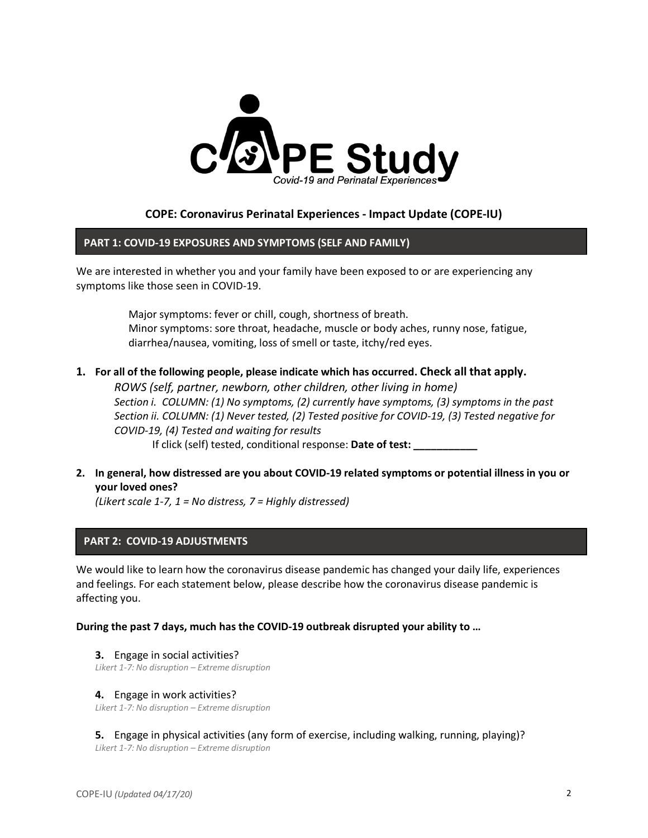

# **COPE: Coronavirus Perinatal Experiences - Impact Update (COPE-IU)**

## **PART 1: COVID-19 EXPOSURES AND SYMPTOMS (SELF AND FAMILY)**

We are interested in whether you and your family have been exposed to or are experiencing any symptoms like those seen in COVID-19.

> Major symptoms: fever or chill, cough, shortness of breath. Minor symptoms: sore throat, headache, muscle or body aches, runny nose, fatigue, diarrhea/nausea, vomiting, loss of smell or taste, itchy/red eyes.

## **1. For all of the following people, please indicate which has occurred. Check all that apply.**

*ROWS (self, partner, newborn, other children, other living in home) Section i. COLUMN: (1) No symptoms, (2) currently have symptoms, (3) symptoms in the past Section ii. COLUMN: (1) Never tested, (2) Tested positive for COVID-19, (3) Tested negative for COVID-19, (4) Tested and waiting for results* If click (self) tested, conditional response: **Date of test: \_\_\_\_\_\_\_\_\_\_\_**

**2. In general, how distressed are you about COVID-19 related symptoms or potential illness in you or your loved ones?** 

*(Likert scale 1-7, 1 = No distress, 7 = Highly distressed)*

# **PART 2: COVID-19 ADJUSTMENTS**

We would like to learn how the coronavirus disease pandemic has changed your daily life, experiences and feelings. For each statement below, please describe how the coronavirus disease pandemic is affecting you.

## **During the past 7 days, much has the COVID-19 outbreak disrupted your ability to …**

**3.** Engage in social activities?

*Likert 1-7: No disruption – Extreme disruption*

## **4.** Engage in work activities?

*Likert 1-7: No disruption – Extreme disruption*

**5.** Engage in physical activities (any form of exercise, including walking, running, playing)? *Likert 1-7: No disruption – Extreme disruption*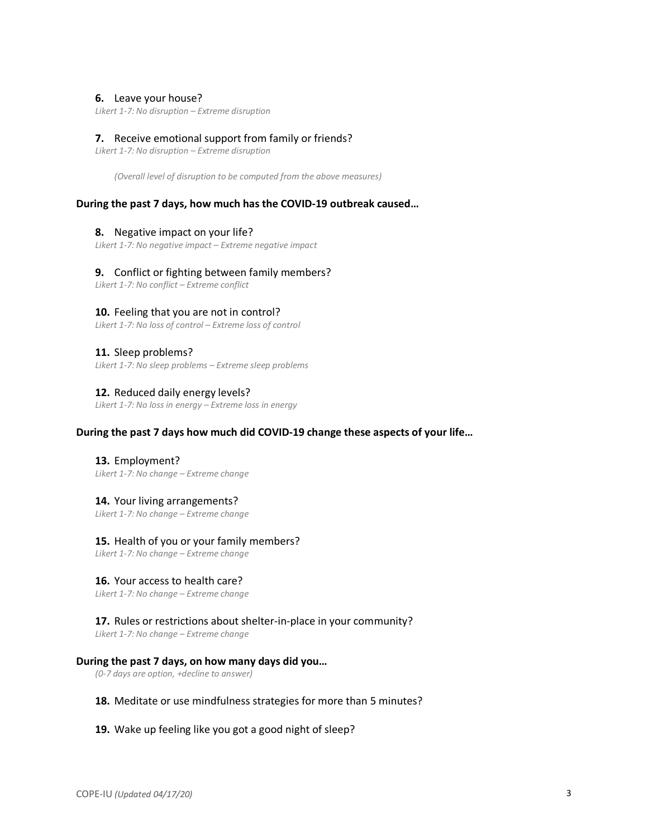#### **6.** Leave your house?

*Likert 1-7: No disruption – Extreme disruption*

#### **7.** Receive emotional support from family or friends?

*Likert 1-7: No disruption – Extreme disruption*

*(Overall level of disruption to be computed from the above measures)*

#### **During the past 7 days, how much has the COVID-19 outbreak caused…**

## **8.** Negative impact on your life?

*Likert 1-7: No negative impact – Extreme negative impact*

#### **9.** Conflict or fighting between family members?

*Likert 1-7: No conflict – Extreme conflict*

#### **10.** Feeling that you are not in control?

*Likert 1-7: No loss of control – Extreme loss of control*

#### **11.** Sleep problems?

*Likert 1-7: No sleep problems – Extreme sleep problems*

#### **12.** Reduced daily energy levels?

*Likert 1-7: No loss in energy – Extreme loss in energy*

#### **During the past 7 days how much did COVID-19 change these aspects of your life…**

**13.** Employment? *Likert 1-7: No change – Extreme change*

### **14.** Your living arrangements?

*Likert 1-7: No change – Extreme change*

### **15.** Health of you or your family members?

*Likert 1-7: No change – Extreme change*

## **16.** Your access to health care?

*Likert 1-7: No change – Extreme change*

## **17.** Rules or restrictions about shelter-in-place in your community?

*Likert 1-7: No change – Extreme change*

#### **During the past 7 days, on how many days did you…**

*(0-7 days are option, +decline to answer)*

## **18.** Meditate or use mindfulness strategies for more than 5 minutes?

#### **19.** Wake up feeling like you got a good night of sleep?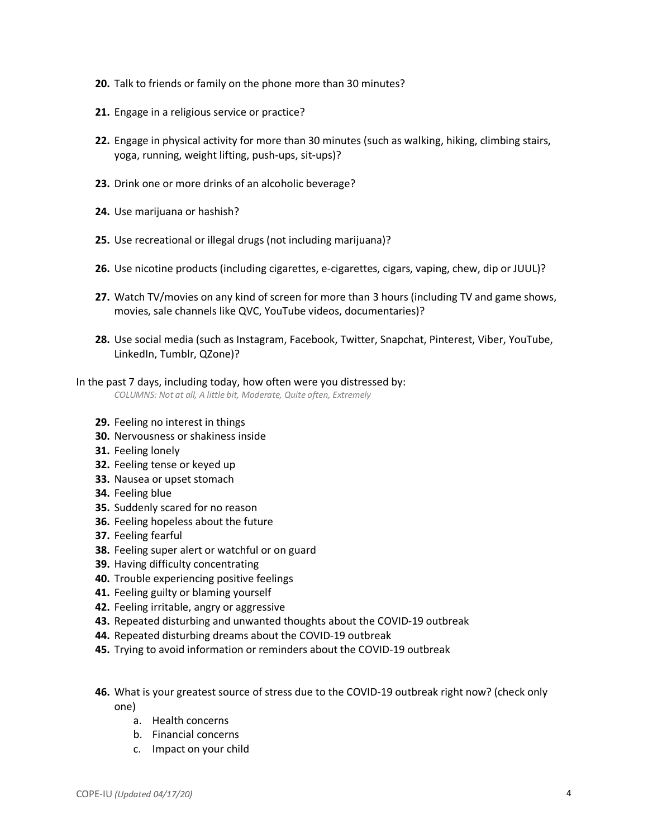- **20.** Talk to friends or family on the phone more than 30 minutes?
- **21.** Engage in a religious service or practice?
- **22.** Engage in physical activity for more than 30 minutes (such as walking, hiking, climbing stairs, yoga, running, weight lifting, push-ups, sit-ups)?
- **23.** Drink one or more drinks of an alcoholic beverage?
- **24.** Use marijuana or hashish?
- **25.** Use recreational or illegal drugs (not including marijuana)?
- **26.** Use nicotine products (including cigarettes, e-cigarettes, cigars, vaping, chew, dip or JUUL)?
- **27.** Watch TV/movies on any kind of screen for more than 3 hours (including TV and game shows, movies, sale channels like QVC, YouTube videos, documentaries)?
- **28.** Use social media (such as Instagram, Facebook, Twitter, Snapchat, Pinterest, Viber, YouTube, LinkedIn, Tumblr, QZone)?

# In the past 7 days, including today, how often were you distressed by:

*COLUMNS: Not at all, A little bit, Moderate, Quite often, Extremely*

- **29.** Feeling no interest in things
- **30.** Nervousness or shakiness inside
- **31.** Feeling lonely
- **32.** Feeling tense or keyed up
- **33.** Nausea or upset stomach
- **34.** Feeling blue
- **35.** Suddenly scared for no reason
- **36.** Feeling hopeless about the future
- **37.** Feeling fearful
- **38.** Feeling super alert or watchful or on guard
- **39.** Having difficulty concentrating
- **40.** Trouble experiencing positive feelings
- **41.** Feeling guilty or blaming yourself
- **42.** Feeling irritable, angry or aggressive
- **43.** Repeated disturbing and unwanted thoughts about the COVID-19 outbreak
- **44.** Repeated disturbing dreams about the COVID-19 outbreak
- **45.** Trying to avoid information or reminders about the COVID-19 outbreak
- **46.** What is your greatest source of stress due to the COVID-19 outbreak right now? (check only one)
	- a. Health concerns
	- b. Financial concerns
	- c. Impact on your child